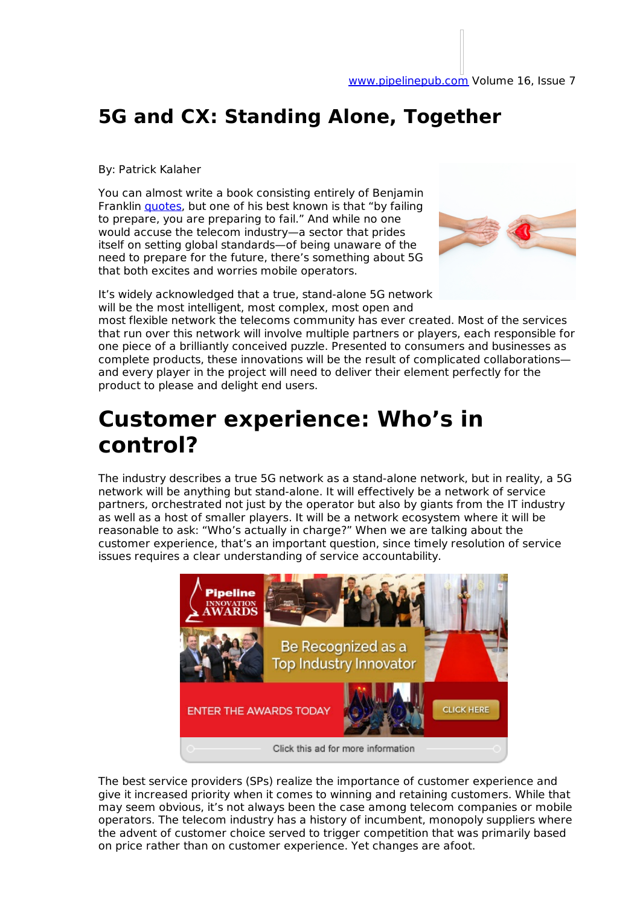## **5G and CX: Standing Alone, Together**

By: Patrick Kalaher

You can almost write a book consisting entirely of Benjamin Franklin *quotes*, but one of his best known is that "by failing to prepare, you are preparing to fail." And while no one would accuse the telecom industry—a sector that prides itself on setting global standards—of being unaware of the need to prepare for the future, there's something about 5G that both excites and worries mobile operators.



It's widely acknowledged that a true, stand-alone 5G network will be the most intelligent, most complex, most open and most flexible network the telecoms community has ever created. Most of the services that run over this network will involve multiple partners or players, each responsible for one piece of a brilliantly conceived puzzle. Presented to consumers and businesses as complete products, these innovations will be the result of complicated collaborations and every player in the project will need to deliver their element perfectly for the product to please and delight end users.

## **Customer experience: Who's in control?**

The industry describes a true 5G network as a stand-alone network, but in reality, a 5G network will be anything but stand-alone. It will effectively be a network of service partners, orchestrated not just by the operator but also by giants from the IT industry as well as a host of smaller players. It will be a network ecosystem where it will be reasonable to ask: "Who's actually in charge?" When we are talking about the customer experience, that's an important question, since timely resolution of service issues requires a clear understanding of service accountability.



The best service providers (SPs) realize the importance of customer experience and give it increased priority when it comes to winning and retaining customers. While that may seem obvious, it's not always been the case among telecom companies or mobile operators. The telecom industry has a history of incumbent, monopoly suppliers where the advent of customer choice served to trigger competition that was primarily based on price rather than on customer experience. Yet changes are afoot.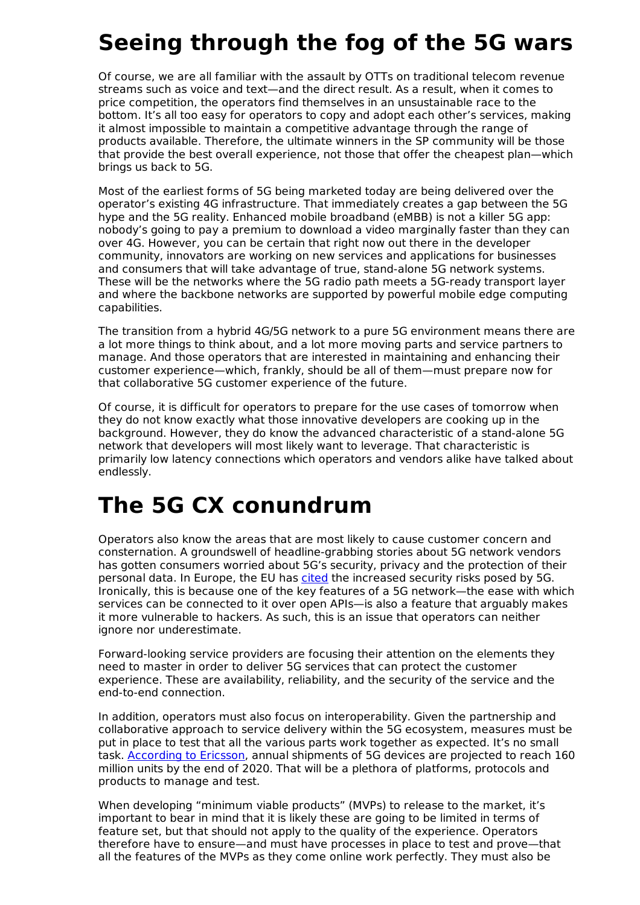## **Seeing through the fog of the 5G wars**

Of course, we are all familiar with the assault by OTTs on traditional telecom revenue streams such as voice and text—and the direct result. As a result, when it comes to price competition, the operators find themselves in an unsustainable race to the bottom. It's all too easy for operators to copy and adopt each other's services, making it almost impossible to maintain a competitive advantage through the range of products available. Therefore, the ultimate winners in the SP community will be those that provide the best overall experience, not those that offer the cheapest plan—which brings us back to 5G.

Most of the earliest forms of 5G being marketed today are being delivered over the operator's existing 4G infrastructure. That immediately creates a gap between the 5G hype and the 5G reality. Enhanced mobile broadband (eMBB) is not a killer 5G app: nobody's going to pay a premium to download a video marginally faster than they can over 4G. However, you can be certain that right now out there in the developer community, innovators are working on new services and applications for businesses and consumers that will take advantage of true, stand-alone 5G network systems. These will be the networks where the 5G radio path meets a 5G-ready transport layer and where the backbone networks are supported by powerful mobile edge computing capabilities.

The transition from a hybrid 4G/5G network to a pure 5G environment means there are a lot more things to think about, and a lot more moving parts and service partners to manage. And those operators that are interested in maintaining and enhancing their customer experience—which, frankly, should be all of them—must prepare now for that collaborative 5G customer experience of the future.

Of course, it is difficult for operators to prepare for the use cases of tomorrow when they do not know exactly what those innovative developers are cooking up in the background. However, they do know the advanced characteristic of a stand-alone 5G network that developers will most likely want to leverage. That characteristic is primarily low latency connections which operators and vendors alike have talked about endlessly.

## **The 5G CX conundrum**

Operators also know the areas that are most likely to cause customer concern and consternation. A groundswell of headline-grabbing stories about 5G network vendors has gotten consumers worried about 5G's security, privacy and the protection of their personal data. In Europe, the EU has cited the increased security risks posed by 5G. Ironically, this is because one of the key features of a 5G network—the ease with which services can be connected to it over open APIs—is also a feature that arguably makes it more vulnerable to hackers. As such, this is an issue that operators can neither ignore nor underestimate.

Forward-looking service providers are focusing their attention on the elements they need to master in order to deliver 5G services that can protect the customer experience. These are availability, reliability, and the security of the service and the end-to-end connection.

In addition, operators must also focus on interoperability. Given the partnership and collaborative approach to service delivery within the 5G ecosystem, measures must be put in place to test that all the various parts work together as expected. It's no small task. **According to Ericsson**, annual shipments of 5G devices are projected to reach 160 million units by the end of 2020. That will be a plethora of platforms, protocols and products to manage and test.

When developing "minimum viable products" (MVPs) to release to the market, it's important to bear in mind that it is likely these are going to be limited in terms of feature set, but that should not apply to the quality of the experience. Operators therefore have to ensure—and must have processes in place to test and prove—that all the features of the MVPs as they come online work perfectly. They must also be